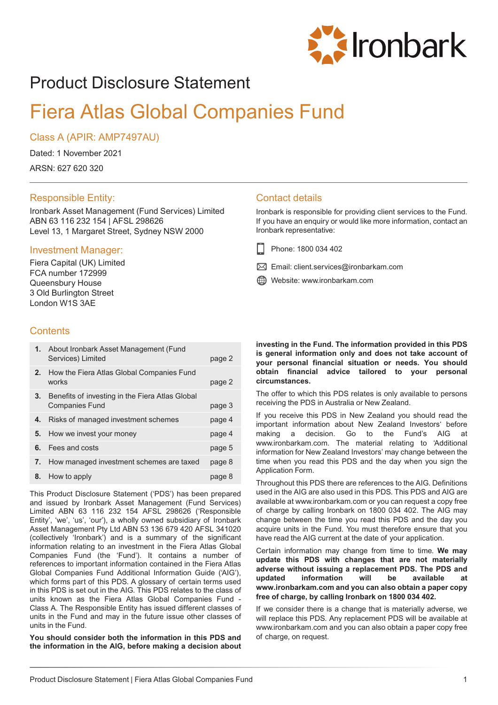

# Product Disclosure Statement

# Fiera Atlas Global Companies Fund

### Class A (APIR: AMP7497AU)

Dated: 1 November 2021

ARSN: 627 620 320

### Responsible Entity:

Ironbark Asset Management (Fund Services) Limited ABN 63 116 232 154 | AFSL 298626 Level 13, 1 Margaret Street, Sydney NSW 2000

### Investment Manager:

Fiera Capital (UK) Limited FCA number 172999 Queensbury House 3 Old Burlington Street London W1S 3AE

### **Contents**

|    | 1. About Ironbark Asset Management (Fund<br>Services) Limited            | page 2 |
|----|--------------------------------------------------------------------------|--------|
| 2. | How the Fiera Atlas Global Companies Fund<br>works                       | page 2 |
| 3. | Benefits of investing in the Fiera Atlas Global<br><b>Companies Fund</b> | page 3 |
| 4. | Risks of managed investment schemes                                      | page 4 |
| 5. | How we invest your money                                                 | page 4 |
| 6. | Fees and costs                                                           | page 5 |
| 7. | How managed investment schemes are taxed                                 | page 8 |
| 8. | How to apply                                                             | page 8 |

This Product Disclosure Statement ('PDS') has been prepared and issued by Ironbark Asset Management (Fund Services) Limited ABN 63 116 232 154 AFSL 298626 ('Responsible Entity', 'we', 'us', 'our'), a wholly owned subsidiary of Ironbark Asset Management Pty Ltd ABN 53 136 679 420 AFSL 341020 (collectively 'Ironbark') and is a summary of the significant information relating to an investment in the Fiera Atlas Global Companies Fund (the 'Fund'). It contains a number of references to important information contained in the Fiera Atlas Global Companies Fund Additional Information Guide ('AIG'), which forms part of this PDS. A glossary of certain terms used in this PDS is set out in the AIG. This PDS relates to the class of units known as the Fiera Atlas Global Companies Fund - Class A. The Responsible Entity has issued different classes of units in the Fund and may in the future issue other classes of units in the Fund.

**You should consider both the information in this PDS and the information in the AIG, before making a decision about**

### Contact details

Ironbark is responsible for providing client services to the Fund. If you have an enquiry or would like more information, contact an Ironbark representative:

- Phone: 1800 034 402
- $\boxtimes$  Email: client.services@ironbarkam.com
- Website: www.ironbarkam.com

**investing in the Fund. The information provided in this PDS is general information only and does not take account of your personal financial situation or needs. You should obtain financial advice tailored to your personal circumstances.**

The offer to which this PDS relates is only available to persons receiving the PDS in Australia or New Zealand.

If you receive this PDS in New Zealand you should read the important information about New Zealand Investors' before making a decision. Go to the Fund's AIG at www.ironbarkam.com. The material relating to 'Additional information for New Zealand Investors' may change between the time when you read this PDS and the day when you sign the Application Form.

Throughout this PDS there are references to the AIG. Definitions used in the AIG are also used in this PDS. This PDS and AIG are available at www.ironbarkam.com or you can request a copy free of charge by calling Ironbark on 1800 034 402. The AIG may change between the time you read this PDS and the day you acquire units in the Fund. You must therefore ensure that you have read the AIG current at the date of your application.

Certain information may change from time to time. **We may update this PDS with changes that are not materially adverse without issuing a replacement PDS. The PDS and updated information will be available at www.ironbarkam.com and you can also obtain a paper copy free of charge, by calling Ironbark on 1800 034 402.**

If we consider there is a change that is materially adverse, we will replace this PDS. Any replacement PDS will be available at www.ironbarkam.com and you can also obtain a paper copy free of charge, on request.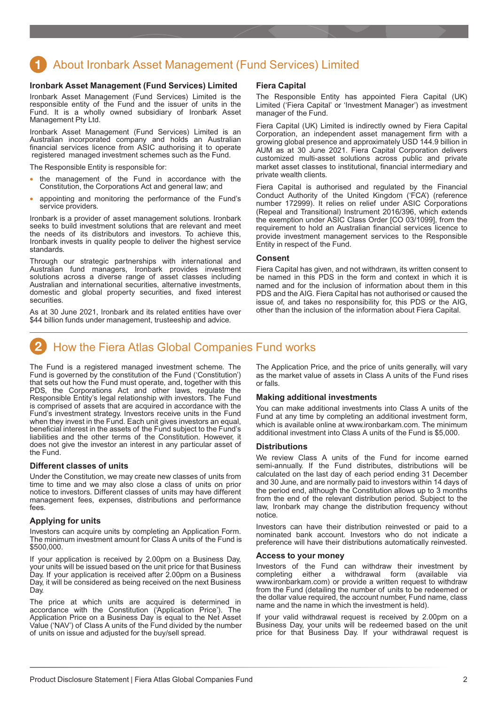# <span id="page-1-0"></span>About Ironbark Asset Management (Fund Services) Limited

### **Ironbark Asset Management (Fund Services) Limited**

Ironbark Asset Management (Fund Services) Limited is the responsible entity of the Fund and the issuer of units in the Fund. It is a wholly owned subsidiary of Ironbark Asset Management Pty Ltd.

Ironbark Asset Management (Fund Services) Limited is an Australian incorporated company and holds an Australian financial services licence from ASIC authorising it to operate registered managed investment schemes such as the Fund.

The Responsible Entity is responsible for:

- the management of the Fund in accordance with the Constitution, the Corporations Act and general law; and
- appointing and monitoring the performance of the Fund's service providers.

Ironbark is a provider of asset management solutions. Ironbark seeks to build investment solutions that are relevant and meet the needs of its distributors and investors. To achieve this, Ironbark invests in quality people to deliver the highest service standards.

Through our strategic partnerships with international and Australian fund managers, Ironbark provides investment solutions across a diverse range of asset classes including Australian and international securities, alternative investments, domestic and global property securities, and fixed interest securities.

As at 30 June 2021, Ironbark and its related entities have over \$44 billion funds under management, trusteeship and advice.

#### **Fiera Capital**

The Responsible Entity has appointed Fiera Capital (UK) Limited ('Fiera Capital' or 'Investment Manager') as investment manager of the Fund.

Fiera Capital (UK) Limited is indirectly owned by Fiera Capital Corporation, an independent asset management firm with a growing global presence and approximately USD 144.9 billion in AUM as at 30 June 2021. Fiera Capital Corporation delivers customized multi-asset solutions across public and private market asset classes to institutional, financial intermediary and private wealth clients.

Fiera Capital is authorised and regulated by the Financial Conduct Authority of the United Kingdom ('FCA') (reference number 172999). It relies on relief under ASIC Corporations (Repeal and Transitional) Instrument 2016/396, which extends the exemption under ASIC Class Order [CO 03/1099], from the requirement to hold an Australian financial services licence to provide investment management services to the Responsible Entity in respect of the Fund.

#### **Consent**

Fiera Capital has given, and not withdrawn, its written consent to be named in this PDS in the form and context in which it is named and for the inclusion of information about them in this PDS and the AIG. Fiera Capital has not authorised or caused the issue of, and takes no responsibility for, this PDS or the AIG, other than the inclusion of the information about Fiera Capital.

# How the Fiera Atlas Global Companies Fund works

The Fund is a registered managed investment scheme. The Fund is governed by the constitution of the Fund ('Constitution') that sets out how the Fund must operate, and, together with this PDS, the Corporations Act and other laws, regulate the Responsible Entity's legal relationship with investors. The Fund is comprised of assets that are acquired in accordance with the Fund's investment strategy. Investors receive units in the Fund when they invest in the Fund. Each unit gives investors an equal, beneficial interest in the assets of the Fund subject to the Fund's liabilities and the other terms of the Constitution. However, it does not give the investor an interest in any particular asset of the Fund.

### **Different classes of units**

Under the Constitution, we may create new classes of units from time to time and we may also close a class of units on prior notice to investors. Different classes of units may have different management fees, expenses, distributions and performance fees.

### **Applying for units**

Investors can acquire units by completing an Application Form. The minimum investment amount for Class A units of the Fund is \$500,000.

If your application is received by 2.00pm on a Business Day, your units will be issued based on the unit price for that Business Day. If your application is received after 2.00pm on a Business Day, it will be considered as being received on the next Business Day.

The price at which units are acquired is determined in accordance with the Constitution ('Application Price'). The Application Price on a Business Day is equal to the Net Asset Value ('NAV') of Class A units of the Fund divided by the number of units on issue and adjusted for the buy/sell spread.

The Application Price, and the price of units generally, will vary as the market value of assets in Class A units of the Fund rises or falls.

### **Making additional investments**

You can make additional investments into Class A units of the Fund at any time by completing an additional investment form, which is available online at www.ironbarkam.com. The minimum additional investment into Class A units of the Fund is \$5,000.

### **Distributions**

We review Class A units of the Fund for income earned semi-annually. If the Fund distributes, distributions will be calculated on the last day of each period ending 31 December and 30 June, and are normally paid to investors within 14 days of the period end, although the Constitution allows up to 3 months from the end of the relevant distribution period. Subject to the law, Ironbark may change the distribution frequency without notice.

Investors can have their distribution reinvested or paid to a nominated bank account. Investors who do not indicate a preference will have their distributions automatically reinvested.

### **Access to your money**

Investors of the Fund can withdraw their investment by completing either a withdrawal form (available via www.ironbarkam.com) or provide a written request to withdraw from the Fund (detailing the number of units to be redeemed or the dollar value required, the account number, Fund name, class name and the name in which the investment is held).

If your valid withdrawal request is received by 2.00pm on a Business Day, your units will be redeemed based on the unit price for that Business Day. If your withdrawal request is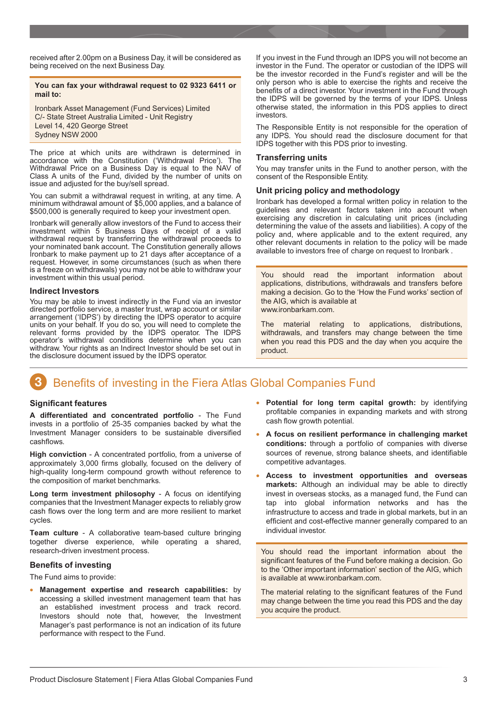<span id="page-2-0"></span>received after 2.00pm on a Business Day, it will be considered as being received on the next Business Day.

### **You can fax your withdrawal request to 02 9323 6411 or mail to:**

Ironbark Asset Management (Fund Services) Limited C/- State Street Australia Limited - Unit Registry Level 14, 420 George Street Sydney NSW 2000

The price at which units are withdrawn is determined in accordance with the Constitution ('Withdrawal Price'). The Withdrawal Price on a Business Day is equal to the NAV of Class A units of the Fund, divided by the number of units on issue and adjusted for the buy/sell spread.

You can submit a withdrawal request in writing, at any time. A minimum withdrawal amount of \$5,000 applies, and a balance of \$500,000 is generally required to keep your investment open.

Ironbark will generally allow investors of the Fund to access their investment within 5 Business Days of receipt of a valid withdrawal request by transferring the withdrawal proceeds to your nominated bank account. The Constitution generally allows Ironbark to make payment up to 21 days after acceptance of a request. However, in some circumstances (such as when there is a freeze on withdrawals) you may not be able to withdraw your investment within this usual period.

#### **Indirect Investors**

You may be able to invest indirectly in the Fund via an investor directed portfolio service, a master trust, wrap account or similar arrangement ('IDPS') by directing the IDPS operator to acquire units on your behalf. If you do so, you will need to complete the relevant forms provided by the IDPS operator. The IDPS operator's withdrawal conditions determine when you can withdraw. Your rights as an Indirect Investor should be set out in the disclosure document issued by the IDPS operator.

If you invest in the Fund through an IDPS you will not become an investor in the Fund. The operator or custodian of the IDPS will be the investor recorded in the Fund's register and will be the only person who is able to exercise the rights and receive the benefits of a direct investor. Your investment in the Fund through the IDPS will be governed by the terms of your IDPS. Unless otherwise stated, the information in this PDS applies to direct investors.

The Responsible Entity is not responsible for the operation of any IDPS. You should read the disclosure document for that IDPS together with this PDS prior to investing.

#### **Transferring units**

You may transfer units in the Fund to another person, with the consent of the Responsible Entity.

### **Unit pricing policy and methodology**

Ironbark has developed a formal written policy in relation to the guidelines and relevant factors taken into account when exercising any discretion in calculating unit prices (including determining the value of the assets and liabilities). A copy of the policy and, where applicable and to the extent required, any other relevant documents in relation to the policy will be made available to investors free of charge on request to Ironbark .

You should read the important information about applications, distributions, withdrawals and transfers before making a decision. Go to the 'How the Fund works' section of the AIG, which is available at www.ironbarkam.com.

The material relating to applications, distributions, withdrawals, and transfers may change between the time when you read this PDS and the day when you acquire the product.

# Benefits of investing in the Fiera Atlas Global Companies Fund

### **Significant features**

**A differentiated and concentrated portfolio** - The Fund invests in a portfolio of 25-35 companies backed by what the Investment Manager considers to be sustainable diversified cashflows.

**High conviction** - A concentrated portfolio, from a universe of approximately 3,000 firms globally, focused on the delivery of high-quality long-term compound growth without reference to the composition of market benchmarks.

**Long term investment philosophy** - A focus on identifying companies that the Investment Manager expects to reliably grow cash flows over the long term and are more resilient to market cycles.

**Team culture** - A collaborative team-based culture bringing together diverse experience, while operating a shared, research-driven investment process.

### **Benefits of investing**

The Fund aims to provide:

• **Management expertise and research capabilities:** by accessing a skilled investment management team that has an established investment process and track record. Investors should note that, however, the Investment Manager's past performance is not an indication of its future performance with respect to the Fund.

- **Potential for long term capital growth:** by identifying profitable companies in expanding markets and with strong cash flow growth potential.
- **A focus on resilient performance in challenging market conditions:** through a portfolio of companies with diverse sources of revenue, strong balance sheets, and identifiable competitive advantages.
- **Access to investment opportunities and overseas markets:** Although an individual may be able to directly invest in overseas stocks, as a managed fund, the Fund can tap into global information networks and has the infrastructure to access and trade in global markets, but in an efficient and cost-effective manner generally compared to an individual investor.

You should read the important information about the significant features of the Fund before making a decision. Go to the 'Other important information' section of the AIG, which is available at www.ironbarkam.com.

The material relating to the significant features of the Fund may change between the time you read this PDS and the day you acquire the product.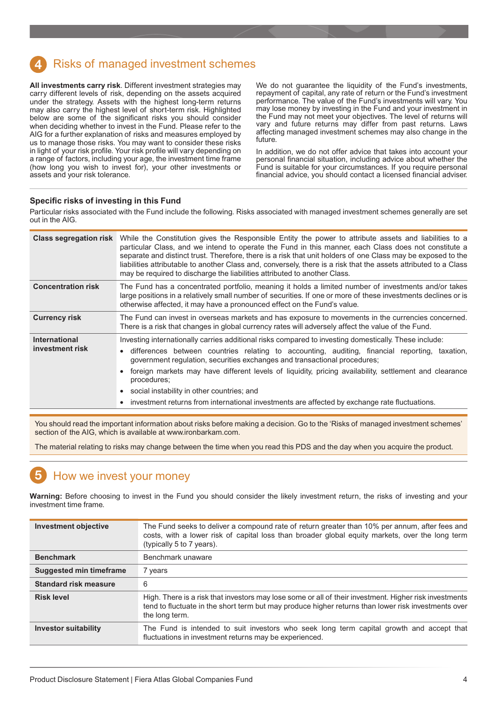# <span id="page-3-0"></span>Risks of managed investment schemes

**All investments carry risk**. Different investment strategies may carry different levels of risk, depending on the assets acquired under the strategy. Assets with the highest long-term returns may also carry the highest level of short-term risk. Highlighted below are some of the significant risks you should consider when deciding whether to invest in the Fund. Please refer to the AIG for a further explanation of risks and measures employed by us to manage those risks. You may want to consider these risks in light of your risk profile. Your risk profile will vary depending on a range of factors, including your age, the investment time frame (how long you wish to invest for), your other investments or assets and your risk tolerance.

We do not guarantee the liquidity of the Fund's investments, repayment of capital, any rate of return or the Fund's investment performance. The value of the Fund's investments will vary. You may lose money by investing in the Fund and your investment in the Fund may not meet your objectives. The level of returns will vary and future returns may differ from past returns. Laws affecting managed investment schemes may also change in the future.

In addition, we do not offer advice that takes into account your personal financial situation, including advice about whether the Fund is suitable for your circumstances. If you require personal financial advice, you should contact a licensed financial adviser.

### **Specific risks of investing in this Fund**

Particular risks associated with the Fund include the following. Risks associated with managed investment schemes generally are set out in the AIG.

| <b>Class segregation risk</b>           | While the Constitution gives the Responsible Entity the power to attribute assets and liabilities to a<br>particular Class, and we intend to operate the Fund in this manner, each Class does not constitute a<br>separate and distinct trust. Therefore, there is a risk that unit holders of one Class may be exposed to the<br>liabilities attributable to another Class and, conversely, there is a risk that the assets attributed to a Class<br>may be required to discharge the liabilities attributed to another Class.                                                                          |  |
|-----------------------------------------|----------------------------------------------------------------------------------------------------------------------------------------------------------------------------------------------------------------------------------------------------------------------------------------------------------------------------------------------------------------------------------------------------------------------------------------------------------------------------------------------------------------------------------------------------------------------------------------------------------|--|
| <b>Concentration risk</b>               | The Fund has a concentrated portfolio, meaning it holds a limited number of investments and/or takes<br>large positions in a relatively small number of securities. If one or more of these investments declines or is<br>otherwise affected, it may have a pronounced effect on the Fund's value.                                                                                                                                                                                                                                                                                                       |  |
| <b>Currency risk</b>                    | The Fund can invest in overseas markets and has exposure to movements in the currencies concerned.<br>There is a risk that changes in global currency rates will adversely affect the value of the Fund.                                                                                                                                                                                                                                                                                                                                                                                                 |  |
| <b>International</b><br>investment risk | Investing internationally carries additional risks compared to investing domestically. These include:<br>differences between countries relating to accounting, auditing, financial reporting, taxation,<br>$\bullet$<br>government regulation, securities exchanges and transactional procedures;<br>foreign markets may have different levels of liquidity, pricing availability, settlement and clearance<br>$\bullet$<br>procedures;<br>social instability in other countries; and<br>$\bullet$<br>investment returns from international investments are affected by exchange rate fluctuations.<br>٠ |  |

You should read the important information about risks before making a decision. Go to the 'Risks of managed investment schemes' section of the AIG, which is available at www.ironbarkam.com.

The material relating to risks may change between the time when you read this PDS and the day when you acquire the product.

# How we invest your money

**Warning:** Before choosing to invest in the Fund you should consider the likely investment return, the risks of investing and your investment time frame.

| <b>Investment objective</b>  | The Fund seeks to deliver a compound rate of return greater than 10% per annum, after fees and<br>costs, with a lower risk of capital loss than broader global equity markets, over the long term<br>(typically 5 to 7 years).  |
|------------------------------|---------------------------------------------------------------------------------------------------------------------------------------------------------------------------------------------------------------------------------|
| <b>Benchmark</b>             | Benchmark unaware                                                                                                                                                                                                               |
| Suggested min timeframe      | 7 years                                                                                                                                                                                                                         |
| <b>Standard risk measure</b> | 6                                                                                                                                                                                                                               |
| <b>Risk level</b>            | High. There is a risk that investors may lose some or all of their investment. Higher risk investments<br>tend to fluctuate in the short term but may produce higher returns than lower risk investments over<br>the long term. |
| <b>Investor suitability</b>  | The Fund is intended to suit investors who seek long term capital growth and accept that<br>fluctuations in investment returns may be experienced.                                                                              |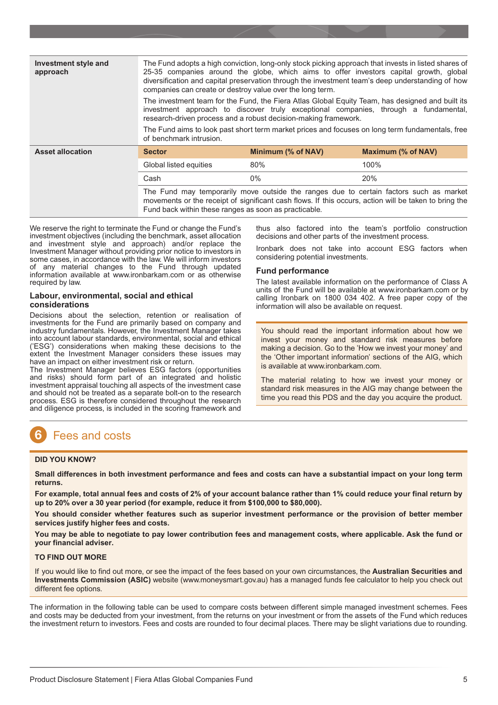<span id="page-4-0"></span>

| Investment style and<br>approach | The Fund adopts a high conviction, long-only stock picking approach that invests in listed shares of<br>25-35 companies around the globe, which aims to offer investors capital growth, global<br>diversification and capital preservation through the investment team's deep understanding of how<br>companies can create or destroy value over the long term.<br>The investment team for the Fund, the Fiera Atlas Global Equity Team, has designed and built its<br>investment approach to discover truly exceptional companies, through a fundamental,<br>research-driven process and a robust decision-making framework.<br>The Fund aims to look past short term market prices and focuses on long term fundamentals, free<br>of benchmark intrusion. |                    |                                                                                                                                                                                                 |
|----------------------------------|-------------------------------------------------------------------------------------------------------------------------------------------------------------------------------------------------------------------------------------------------------------------------------------------------------------------------------------------------------------------------------------------------------------------------------------------------------------------------------------------------------------------------------------------------------------------------------------------------------------------------------------------------------------------------------------------------------------------------------------------------------------|--------------------|-------------------------------------------------------------------------------------------------------------------------------------------------------------------------------------------------|
| <b>Asset allocation</b>          | <b>Sector</b>                                                                                                                                                                                                                                                                                                                                                                                                                                                                                                                                                                                                                                                                                                                                               | Minimum (% of NAV) | Maximum (% of NAV)                                                                                                                                                                              |
|                                  | Global listed equities                                                                                                                                                                                                                                                                                                                                                                                                                                                                                                                                                                                                                                                                                                                                      | 80%                | 100%                                                                                                                                                                                            |
|                                  | Cash                                                                                                                                                                                                                                                                                                                                                                                                                                                                                                                                                                                                                                                                                                                                                        | $0\%$              | 20%                                                                                                                                                                                             |
|                                  | Fund back within these ranges as soon as practicable.                                                                                                                                                                                                                                                                                                                                                                                                                                                                                                                                                                                                                                                                                                       |                    | The Fund may temporarily move outside the ranges due to certain factors such as market<br>movements or the receipt of significant cash flows. If this occurs, action will be taken to bring the |

We reserve the right to terminate the Fund or change the Fund's investment objectives (including the benchmark, asset allocation and investment style and approach) and/or replace the Investment Manager without providing prior notice to investors in some cases, in accordance with the law. We will inform investors of any material changes to the Fund through updated information available at www.ironbarkam.com or as otherwise required by law.

### **Labour, environmental, social and ethical considerations**

Decisions about the selection, retention or realisation of investments for the Fund are primarily based on company and industry fundamentals. However, the Investment Manager takes into account labour standards, environmental, social and ethical ('ESG') considerations when making these decisions to the extent the Investment Manager considers these issues may have an impact on either investment risk or return.

The Investment Manager believes ESG factors (opportunities and risks) should form part of an integrated and holistic investment appraisal touching all aspects of the investment case and should not be treated as a separate bolt-on to the research process. ESG is therefore considered throughout the research and diligence process, is included in the scoring framework and

thus also factored into the team's portfolio construction decisions and other parts of the investment process.

Ironbark does not take into account ESG factors when considering potential investments.

### **Fund performance**

The latest available information on the performance of Class A units of the Fund will be available at www.ironbarkam.com or by calling Ironbark on 1800 034 402. A free paper copy of the information will also be available on request.

You should read the important information about how we invest your money and standard risk measures before making a decision. Go to the 'How we invest your money' and the 'Other important information' sections of the AIG, which is available at www.ironbarkam.com.

The material relating to how we invest your money or standard risk measures in the AIG may change between the time you read this PDS and the day you acquire the product.

# Fees and costs

### **DID YOU KNOW?**

**Small differences in both investment performance and fees and costs can have a substantial impact on your long term returns.**

**For example, total annual fees and costs of 2% of your account balance rather than 1% could reduce your final return by up to 20% over a 30 year period (for example, reduce it from \$100,000 to \$80,000).**

**You should consider whether features such as superior investment performance or the provision of better member services justify higher fees and costs.**

**You may be able to negotiate to pay lower contribution fees and management costs, where applicable. Ask the fund or your financial adviser.**

### **TO FIND OUT MORE**

If you would like to find out more, or see the impact of the fees based on your own circumstances, the **Australian Securities and Investments Commission (ASIC)** website (www.moneysmart.gov.au) has a managed funds fee calculator to help you check out different fee options.

The information in the following table can be used to compare costs between different simple managed investment schemes. Fees and costs may be deducted from your investment, from the returns on your investment or from the assets of the Fund which reduces the investment return to investors. Fees and costs are rounded to four decimal places. There may be slight variations due to rounding.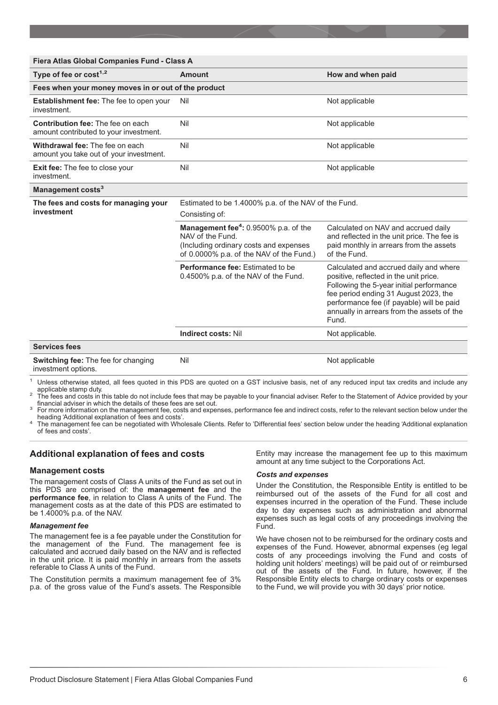| Fiera Atlas Global Companies Fund - Class A                                        |                                                                                                                                                                  |                                                                                                                                                                                                                                                                           |  |  |  |
|------------------------------------------------------------------------------------|------------------------------------------------------------------------------------------------------------------------------------------------------------------|---------------------------------------------------------------------------------------------------------------------------------------------------------------------------------------------------------------------------------------------------------------------------|--|--|--|
| Type of fee or $cost^{1,2}$                                                        | Amount                                                                                                                                                           | How and when paid                                                                                                                                                                                                                                                         |  |  |  |
| Fees when your money moves in or out of the product                                |                                                                                                                                                                  |                                                                                                                                                                                                                                                                           |  |  |  |
| <b>Establishment fee:</b> The fee to open your<br>investment.                      | Nil                                                                                                                                                              | Not applicable                                                                                                                                                                                                                                                            |  |  |  |
| <b>Contribution fee: The fee on each</b><br>amount contributed to your investment. | Nil                                                                                                                                                              | Not applicable                                                                                                                                                                                                                                                            |  |  |  |
| Withdrawal fee: The fee on each<br>amount you take out of your investment.         | Nil                                                                                                                                                              | Not applicable                                                                                                                                                                                                                                                            |  |  |  |
| <b>Exit fee:</b> The fee to close your<br>investment.                              | Nil                                                                                                                                                              | Not applicable                                                                                                                                                                                                                                                            |  |  |  |
| Management costs <sup>3</sup>                                                      |                                                                                                                                                                  |                                                                                                                                                                                                                                                                           |  |  |  |
| The fees and costs for managing your<br>investment                                 | Estimated to be 1.4000% p.a. of the NAV of the Fund.<br>Consisting of:                                                                                           |                                                                                                                                                                                                                                                                           |  |  |  |
|                                                                                    | <b>Management fee<sup>4</sup>: 0.9500% p.a. of the</b><br>NAV of the Fund.<br>(Including ordinary costs and expenses<br>of 0.0000% p.a. of the NAV of the Fund.) | Calculated on NAV and accrued daily<br>and reflected in the unit price. The fee is<br>paid monthly in arrears from the assets<br>of the Fund.                                                                                                                             |  |  |  |
|                                                                                    | <b>Performance fee: Estimated to be</b><br>0.4500% p.a. of the NAV of the Fund.                                                                                  | Calculated and accrued daily and where<br>positive, reflected in the unit price.<br>Following the 5-year initial performance<br>fee period ending 31 August 2023, the<br>performance fee (if payable) will be paid<br>annually in arrears from the assets of the<br>Fund. |  |  |  |
|                                                                                    | <b>Indirect costs: Nil</b>                                                                                                                                       | Not applicable.                                                                                                                                                                                                                                                           |  |  |  |
| <b>Services fees</b>                                                               |                                                                                                                                                                  |                                                                                                                                                                                                                                                                           |  |  |  |
| Switching fee: The fee for changing<br>investment options.                         | Nil                                                                                                                                                              | Not applicable                                                                                                                                                                                                                                                            |  |  |  |

Unless otherwise stated, all fees quoted in this PDS are quoted on a GST inclusive basis, net of any reduced input tax credits and include any applicable stamp duty.

application to the fees and costs in this table do not include fees that may be payable to your financial adviser. Refer to the Statement of Advice provided by your financial adviser in which the details of these fees are

For more information on the management fee, costs and expenses, performance fee and indirect costs, refer to the relevant section below under the<br>heading 'Additional explanation of fees and costs'.

heading 'Additional explanation of fees and costs'. <sup>4</sup> The management fee can be negotiated with Wholesale Clients. Refer to 'Differential fees' section below under the heading 'Additional explanation of fees and costs'.

### **Additional explanation of fees and costs**

### **Management costs**

The management costs of Class A units of the Fund as set out in this PDS are comprised of: the **management fee** and the **performance fee**, in relation to Class A units of the Fund. The management costs as at the date of this PDS are estimated to be 1.4000% p.a. of the NAV.

### *Management fee*

The management fee is a fee payable under the Constitution for the management of the Fund. The management fee is calculated and accrued daily based on the NAV and is reflected in the unit price. It is paid monthly in arrears from the assets referable to Class A units of the Fund.

The Constitution permits a maximum management fee of 3% p.a. of the gross value of the Fund's assets. The Responsible Entity may increase the management fee up to this maximum amount at any time subject to the Corporations Act.

### *Costs and expenses*

Under the Constitution, the Responsible Entity is entitled to be reimbursed out of the assets of the Fund for all cost and expenses incurred in the operation of the Fund. These include day to day expenses such as administration and abnormal expenses such as legal costs of any proceedings involving the Fund.

We have chosen not to be reimbursed for the ordinary costs and expenses of the Fund. However, abnormal expenses (eg legal costs of any proceedings involving the Fund and costs of holding unit holders' meetings) will be paid out of or reimbursed out of the assets of the Fund. In future, however, if the Responsible Entity elects to charge ordinary costs or expenses to the Fund, we will provide you with 30 days' prior notice.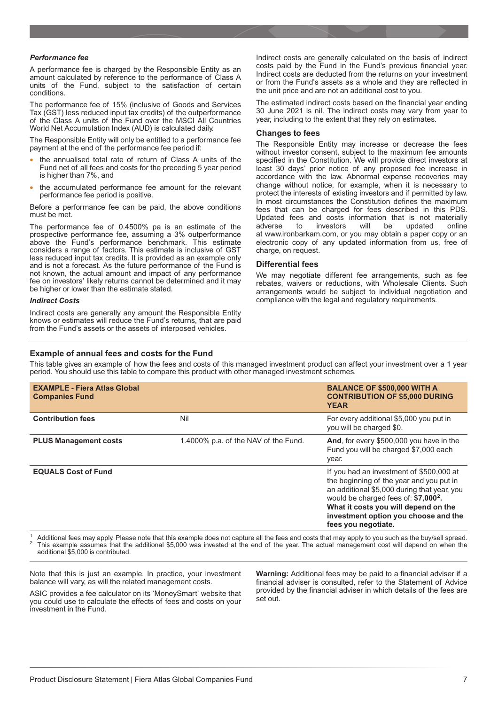### *Performance fee*

A performance fee is charged by the Responsible Entity as an amount calculated by reference to the performance of Class A units of the Fund, subject to the satisfaction of certain conditions.

The performance fee of 15% (inclusive of Goods and Services Tax (GST) less reduced input tax credits) of the outperformance of the Class A units of the Fund over the MSCI All Countries World Net Accumulation Index (AUD) is calculated daily.

The Responsible Entity will only be entitled to a performance fee payment at the end of the performance fee period if:

- the annualised total rate of return of Class A units of the Fund net of all fees and costs for the preceding 5 year period is higher than 7%, and
- the accumulated performance fee amount for the relevant performance fee period is positive.

Before a performance fee can be paid, the above conditions must be met.

The performance fee of 0.4500% pa is an estimate of the prospective performance fee, assuming a 3% outperformance above the Fund's performance benchmark. This estimate considers a range of factors. This estimate is inclusive of GST less reduced input tax credits. It is provided as an example only and is not a forecast. As the future performance of the Fund is not known, the actual amount and impact of any performance fee on investors' likely returns cannot be determined and it may be higher or lower than the estimate stated.

#### *Indirect Costs*

Indirect costs are generally any amount the Responsible Entity knows or estimates will reduce the Fund's returns, that are paid from the Fund's assets or the assets of interposed vehicles.

### **Example of annual fees and costs for the Fund**

Indirect costs are generally calculated on the basis of indirect costs paid by the Fund in the Fund's previous financial year. Indirect costs are deducted from the returns on your investment or from the Fund's assets as a whole and they are reflected in the unit price and are not an additional cost to you.

The estimated indirect costs based on the financial year ending 30 June 2021 is nil. The indirect costs may vary from year to year, including to the extent that they rely on estimates.

### **Changes to fees**

The Responsible Entity may increase or decrease the fees without investor consent, subject to the maximum fee amounts specified in the Constitution. We will provide direct investors at least 30 days' prior notice of any proposed fee increase in accordance with the law. Abnormal expense recoveries may change without notice, for example, when it is necessary to protect the interests of existing investors and if permitted by law. In most circumstances the Constitution defines the maximum fees that can be charged for fees described in this PDS. Updated fees and costs information that is not materially to investors will be updated online at www.ironbarkam.com, or you may obtain a paper copy or an electronic copy of any updated information from us, free of charge, on request.

### **Differential fees**

We may negotiate different fee arrangements, such as fee rebates, waivers or reductions, with Wholesale Clients. Such arrangements would be subject to individual negotiation and compliance with the legal and regulatory requirements.

This table gives an example of how the fees and costs of this managed investment product can affect your investment over a 1 year period. You should use this table to compare this product with other managed investment schemes.

| <b>EXAMPLE - Fiera Atlas Global</b><br><b>Companies Fund</b> |                                      | <b>BALANCE OF \$500,000 WITH A</b><br><b>CONTRIBUTION OF \$5,000 DURING</b><br><b>YEAR</b>                                                                                                                                                                                                     |
|--------------------------------------------------------------|--------------------------------------|------------------------------------------------------------------------------------------------------------------------------------------------------------------------------------------------------------------------------------------------------------------------------------------------|
| <b>Contribution fees</b>                                     | Nil                                  | For every additional \$5,000 you put in<br>you will be charged \$0.                                                                                                                                                                                                                            |
| <b>PLUS Management costs</b>                                 | 1.4000% p.a. of the NAV of the Fund. | And, for every \$500,000 you have in the<br>Fund you will be charged \$7,000 each<br>year.                                                                                                                                                                                                     |
| <b>EQUALS Cost of Fund</b>                                   |                                      | If you had an investment of \$500,000 at<br>the beginning of the year and you put in<br>an additional \$5,000 during that year, you<br>would be charged fees of: \$7,000 <sup>2</sup> .<br>What it costs you will depend on the<br>investment option you choose and the<br>fees you negotiate. |

Additional fees may apply. Please note that this example does not capture all the fees and costs that may apply to you such as the buy/sell spread.<br>This example assumes that the additional \$5,000 was invested at the end of additional \$5,000 is contributed.

Note that this is just an example. In practice, your investment balance will vary, as will the related management costs.

ASIC provides a fee calculator on its 'MoneySmart' website that you could use to calculate the effects of fees and costs on your investment in the Fund.

**Warning:** Additional fees may be paid to a financial adviser if a financial adviser is consulted, refer to the Statement of Advice provided by the financial adviser in which details of the fees are set out.